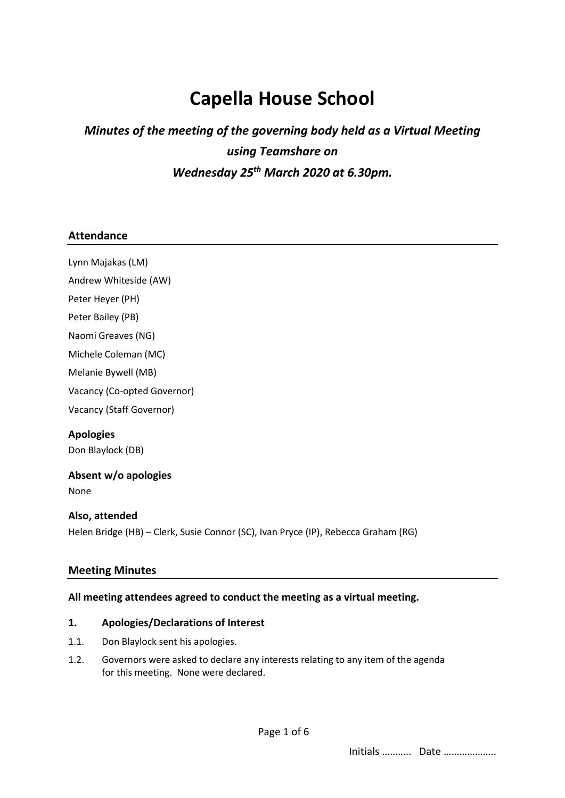# **Capella House School**

# *Minutes of the meeting of the governing body held as a Virtual Meeting using Teamshare on Wednesday 25 th March 2020 at 6.30pm.*

#### **Attendance**

Lynn Majakas (LM) Andrew Whiteside (AW) Peter Heyer (PH) Peter Bailey (PB) Naomi Greaves (NG) Michele Coleman (MC) Melanie Bywell (MB) Vacancy (Co-opted Governor) Vacancy (Staff Governor) **Apologies** Don Blaylock (DB)

# None

**Absent w/o apologies**

# **Also, attended**

Helen Bridge (HB) – Clerk, Susie Connor (SC), Ivan Pryce (IP), Rebecca Graham (RG)

#### **Meeting Minutes**

#### **All meeting attendees agreed to conduct the meeting as a virtual meeting.**

#### **1. Apologies/Declarations of Interest**

- 1.1. Don Blaylock sent his apologies.
- 1.2. Governors were asked to declare any interests relating to any item of the agenda for this meeting. None were declared.

Initials ……….. Date ………………..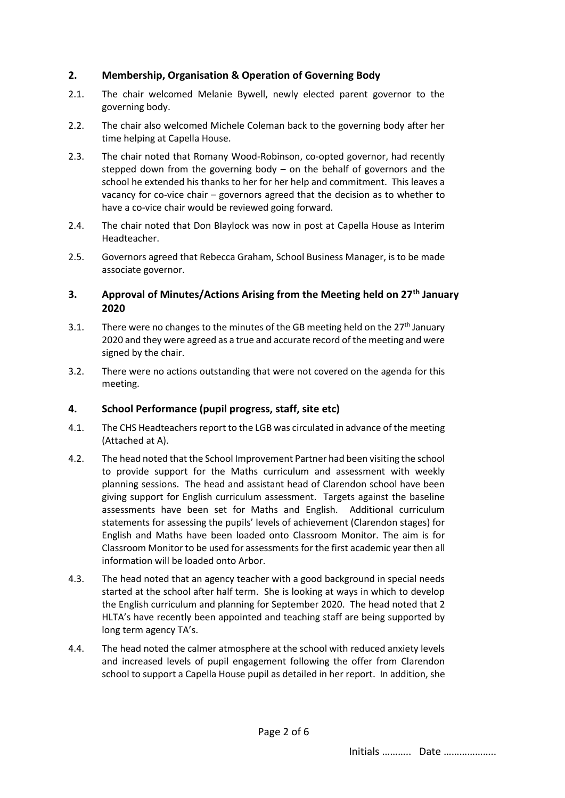### **2. Membership, Organisation & Operation of Governing Body**

- 2.1. The chair welcomed Melanie Bywell, newly elected parent governor to the governing body.
- 2.2. The chair also welcomed Michele Coleman back to the governing body after her time helping at Capella House.
- 2.3. The chair noted that Romany Wood-Robinson, co-opted governor, had recently stepped down from the governing body – on the behalf of governors and the school he extended his thanks to her for her help and commitment. This leaves a vacancy for co-vice chair – governors agreed that the decision as to whether to have a co-vice chair would be reviewed going forward.
- 2.4. The chair noted that Don Blaylock was now in post at Capella House as Interim Headteacher.
- 2.5. Governors agreed that Rebecca Graham, School Business Manager, is to be made associate governor.

#### **3. Approval of Minutes/Actions Arising from the Meeting held on 27th January 2020**

- 3.1. There were no changes to the minutes of the GB meeting held on the  $27<sup>th</sup>$  January 2020 and they were agreed as a true and accurate record of the meeting and were signed by the chair.
- 3.2. There were no actions outstanding that were not covered on the agenda for this meeting.

#### **4. School Performance (pupil progress, staff, site etc)**

- 4.1. The CHS Headteachers report to the LGB was circulated in advance of the meeting (Attached at A).
- 4.2. The head noted that the School Improvement Partner had been visiting the school to provide support for the Maths curriculum and assessment with weekly planning sessions. The head and assistant head of Clarendon school have been giving support for English curriculum assessment. Targets against the baseline assessments have been set for Maths and English. Additional curriculum statements for assessing the pupils' levels of achievement (Clarendon stages) for English and Maths have been loaded onto Classroom Monitor. The aim is for Classroom Monitor to be used for assessments for the first academic year then all information will be loaded onto Arbor.
- 4.3. The head noted that an agency teacher with a good background in special needs started at the school after half term. She is looking at ways in which to develop the English curriculum and planning for September 2020. The head noted that 2 HLTA's have recently been appointed and teaching staff are being supported by long term agency TA's.
- 4.4. The head noted the calmer atmosphere at the school with reduced anxiety levels and increased levels of pupil engagement following the offer from Clarendon school to support a Capella House pupil as detailed in her report. In addition, she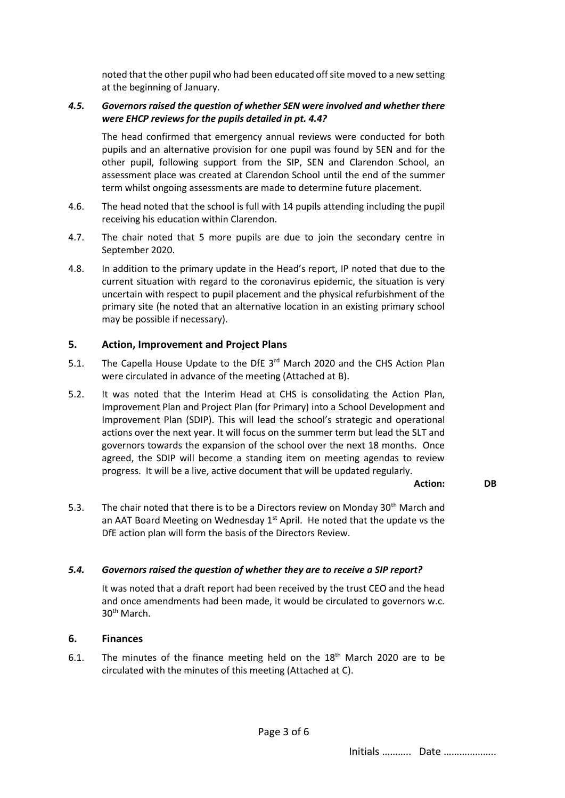noted that the other pupil who had been educated off site moved to a new setting at the beginning of January.

#### *4.5. Governors raised the question of whether SEN were involved and whether there were EHCP reviews for the pupils detailed in pt. 4.4?*

The head confirmed that emergency annual reviews were conducted for both pupils and an alternative provision for one pupil was found by SEN and for the other pupil, following support from the SIP, SEN and Clarendon School, an assessment place was created at Clarendon School until the end of the summer term whilst ongoing assessments are made to determine future placement.

- 4.6. The head noted that the school is full with 14 pupils attending including the pupil receiving his education within Clarendon.
- 4.7. The chair noted that 5 more pupils are due to join the secondary centre in September 2020.
- 4.8. In addition to the primary update in the Head's report, IP noted that due to the current situation with regard to the coronavirus epidemic, the situation is very uncertain with respect to pupil placement and the physical refurbishment of the primary site (he noted that an alternative location in an existing primary school may be possible if necessary).

#### **5. Action, Improvement and Project Plans**

- 5.1. The Capella House Update to the DfE 3<sup>rd</sup> March 2020 and the CHS Action Plan were circulated in advance of the meeting (Attached at B).
- 5.2. It was noted that the Interim Head at CHS is consolidating the Action Plan, Improvement Plan and Project Plan (for Primary) into a School Development and Improvement Plan (SDIP). This will lead the school's strategic and operational actions over the next year. It will focus on the summer term but lead the SLT and governors towards the expansion of the school over the next 18 months. Once agreed, the SDIP will become a standing item on meeting agendas to review progress. It will be a live, active document that will be updated regularly.

#### **Action: DB**

5.3. The chair noted that there is to be a Directors review on Monday 30<sup>th</sup> March and an AAT Board Meeting on Wednesday  $1<sup>st</sup>$  April. He noted that the update vs the DfE action plan will form the basis of the Directors Review.

#### *5.4. Governors raised the question of whether they are to receive a SIP report?*

It was noted that a draft report had been received by the trust CEO and the head and once amendments had been made, it would be circulated to governors w.c. 30th March.

#### **6. Finances**

6.1. The minutes of the finance meeting held on the  $18<sup>th</sup>$  March 2020 are to be circulated with the minutes of this meeting (Attached at C).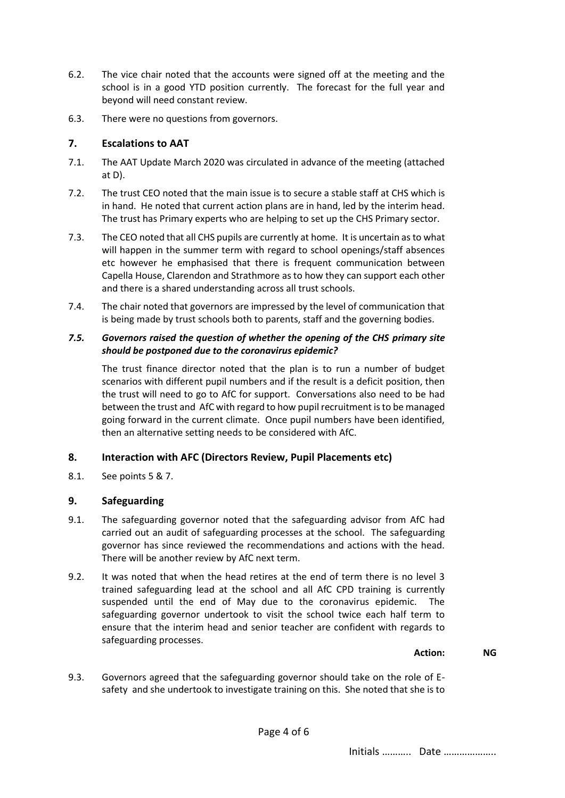- 6.2. The vice chair noted that the accounts were signed off at the meeting and the school is in a good YTD position currently. The forecast for the full year and beyond will need constant review.
- 6.3. There were no questions from governors.

## **7. Escalations to AAT**

- 7.1. The AAT Update March 2020 was circulated in advance of the meeting (attached at D).
- 7.2. The trust CEO noted that the main issue is to secure a stable staff at CHS which is in hand. He noted that current action plans are in hand, led by the interim head. The trust has Primary experts who are helping to set up the CHS Primary sector.
- 7.3. The CEO noted that all CHS pupils are currently at home. It is uncertain as to what will happen in the summer term with regard to school openings/staff absences etc however he emphasised that there is frequent communication between Capella House, Clarendon and Strathmore as to how they can support each other and there is a shared understanding across all trust schools.
- 7.4. The chair noted that governors are impressed by the level of communication that is being made by trust schools both to parents, staff and the governing bodies.

### *7.5. Governors raised the question of whether the opening of the CHS primary site should be postponed due to the coronavirus epidemic?*

The trust finance director noted that the plan is to run a number of budget scenarios with different pupil numbers and if the result is a deficit position, then the trust will need to go to AfC for support. Conversations also need to be had between the trust and AfC with regard to how pupil recruitment is to be managed going forward in the current climate. Once pupil numbers have been identified, then an alternative setting needs to be considered with AfC.

# **8. Interaction with AFC (Directors Review, Pupil Placements etc)**

8.1. See points 5 & 7.

# **9. Safeguarding**

- 9.1. The safeguarding governor noted that the safeguarding advisor from AfC had carried out an audit of safeguarding processes at the school. The safeguarding governor has since reviewed the recommendations and actions with the head. There will be another review by AfC next term.
- 9.2. It was noted that when the head retires at the end of term there is no level 3 trained safeguarding lead at the school and all AfC CPD training is currently suspended until the end of May due to the coronavirus epidemic. The safeguarding governor undertook to visit the school twice each half term to ensure that the interim head and senior teacher are confident with regards to safeguarding processes.

#### **Action: NG**

9.3. Governors agreed that the safeguarding governor should take on the role of Esafety and she undertook to investigate training on this. She noted that she is to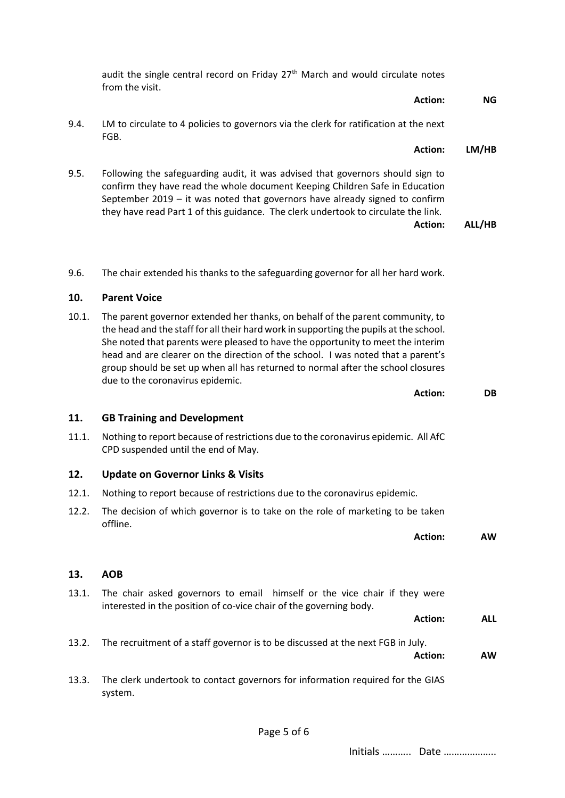|       | <b>Action:</b>                                                                                                                                                                                                                                                                                                                                                                                                                                                          | <b>NG</b>  |
|-------|-------------------------------------------------------------------------------------------------------------------------------------------------------------------------------------------------------------------------------------------------------------------------------------------------------------------------------------------------------------------------------------------------------------------------------------------------------------------------|------------|
| 9.4.  | LM to circulate to 4 policies to governors via the clerk for ratification at the next<br>FGB.                                                                                                                                                                                                                                                                                                                                                                           |            |
|       | <b>Action:</b>                                                                                                                                                                                                                                                                                                                                                                                                                                                          | LM/HB      |
| 9.5.  | Following the safeguarding audit, it was advised that governors should sign to<br>confirm they have read the whole document Keeping Children Safe in Education<br>September 2019 - it was noted that governors have already signed to confirm<br>they have read Part 1 of this guidance. The clerk undertook to circulate the link.<br><b>Action:</b>                                                                                                                   | ALL/HB     |
| 9.6.  | The chair extended his thanks to the safeguarding governor for all her hard work.                                                                                                                                                                                                                                                                                                                                                                                       |            |
| 10.   | <b>Parent Voice</b>                                                                                                                                                                                                                                                                                                                                                                                                                                                     |            |
| 10.1. | The parent governor extended her thanks, on behalf of the parent community, to<br>the head and the staff for all their hard work in supporting the pupils at the school.<br>She noted that parents were pleased to have the opportunity to meet the interim<br>head and are clearer on the direction of the school. I was noted that a parent's<br>group should be set up when all has returned to normal after the school closures<br>due to the coronavirus epidemic. |            |
|       | Action:                                                                                                                                                                                                                                                                                                                                                                                                                                                                 | DB         |
| 11.   | <b>GB Training and Development</b>                                                                                                                                                                                                                                                                                                                                                                                                                                      |            |
| 11.1. | Nothing to report because of restrictions due to the coronavirus epidemic. All AfC<br>CPD suspended until the end of May.                                                                                                                                                                                                                                                                                                                                               |            |
| 12.   | <b>Update on Governor Links &amp; Visits</b>                                                                                                                                                                                                                                                                                                                                                                                                                            |            |
| 12.1. | Nothing to report because of restrictions due to the coronavirus epidemic.                                                                                                                                                                                                                                                                                                                                                                                              |            |
| 12.2. | The decision of which governor is to take on the role of marketing to be taken<br>offline.                                                                                                                                                                                                                                                                                                                                                                              |            |
|       | <b>Action:</b>                                                                                                                                                                                                                                                                                                                                                                                                                                                          | ΑW         |
| 13.   | <b>AOB</b>                                                                                                                                                                                                                                                                                                                                                                                                                                                              |            |
| 13.1. | The chair asked governors to email himself or the vice chair if they were<br>interested in the position of co-vice chair of the governing body.<br><b>Action:</b>                                                                                                                                                                                                                                                                                                       | <b>ALL</b> |
| 13.2. | The recruitment of a staff governor is to be discussed at the next FGB in July.<br><b>Action:</b>                                                                                                                                                                                                                                                                                                                                                                       | AW         |
| 13.3. | The clerk undertook to contact governors for information required for the GIAS<br>system.                                                                                                                                                                                                                                                                                                                                                                               |            |

audit the single central record on Friday  $27<sup>th</sup>$  March and would circulate notes

from the visit.